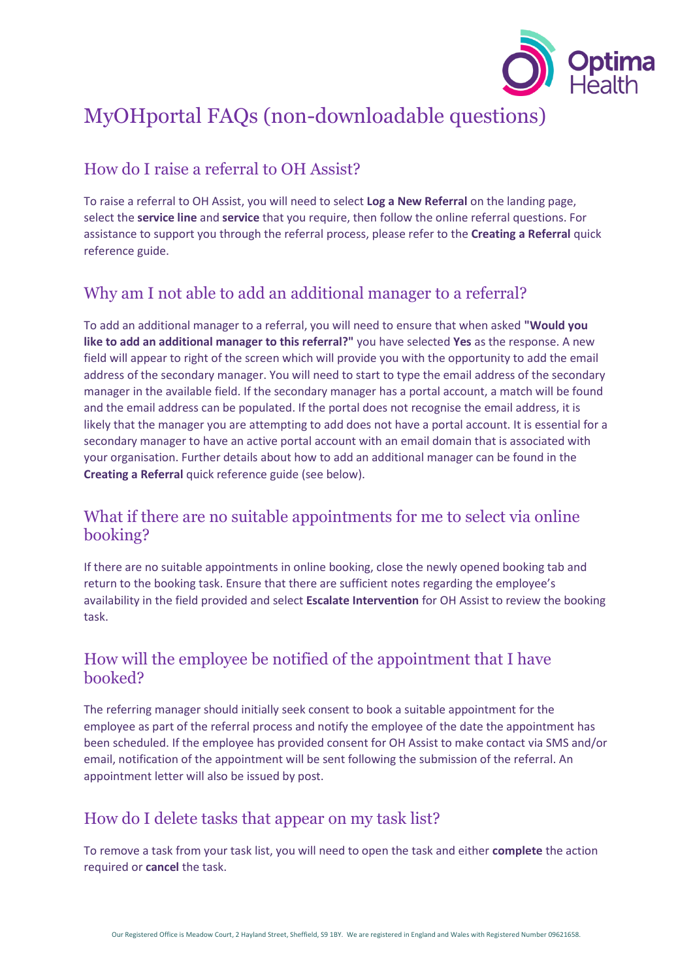

# MyOHportal FAQs (non-downloadable questions)

## How do I raise a referral to OH Assist?

To raise a referral to OH Assist, you will need to select **Log a New Referral** on the landing page, select the **service line** and **service** that you require, then follow the online referral questions. For assistance to support you through the referral process, please refer to the **Creating a Referral** quick reference guide.

# Why am I not able to add an additional manager to a referral?

To add an additional manager to a referral, you will need to ensure that when asked **"Would you like to add an additional manager to this referral?"** you have selected **Yes** as the response. A new field will appear to right of the screen which will provide you with the opportunity to add the email address of the secondary manager. You will need to start to type the email address of the secondary manager in the available field. If the secondary manager has a portal account, a match will be found and the email address can be populated. If the portal does not recognise the email address, it is likely that the manager you are attempting to add does not have a portal account. It is essential for a secondary manager to have an active portal account with an email domain that is associated with your organisation. Further details about how to add an additional manager can be found in the **Creating a Referral** quick reference guide (see below).

## What if there are no suitable appointments for me to select via online booking?

If there are no suitable appointments in online booking, close the newly opened booking tab and return to the booking task. Ensure that there are sufficient notes regarding the employee's availability in the field provided and select **Escalate Intervention** for OH Assist to review the booking task.

## How will the employee be notified of the appointment that I have booked?

The referring manager should initially seek consent to book a suitable appointment for the employee as part of the referral process and notify the employee of the date the appointment has been scheduled. If the employee has provided consent for OH Assist to make contact via SMS and/or email, notification of the appointment will be sent following the submission of the referral. An appointment letter will also be issued by post.

## How do I delete tasks that appear on my task list?

To remove a task from your task list, you will need to open the task and either **complete** the action required or **cancel** the task.